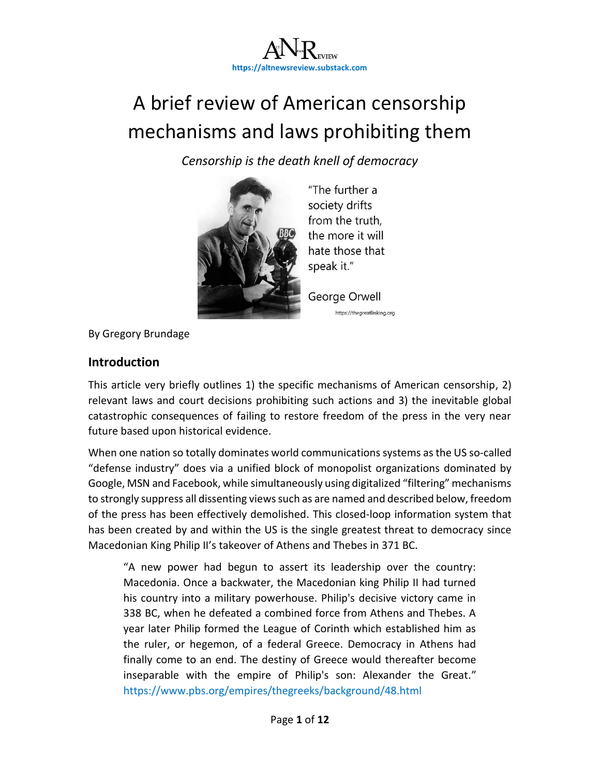

# A brief review of American censorship mechanisms and laws prohibiting them

*Censorship is the death knell of democracy*



"The further a society drifts from the truth, the more it will hate those that speak it."

George Orwell https://thegreatlinking.org

By Gregory Brundage

#### **Introduction**

This article very briefly outlines 1) the specific mechanisms of American censorship, 2) relevant laws and court decisions prohibiting such actions and 3) the inevitable global catastrophic consequences of failing to restore freedom of the press in the very near future based upon historical evidence.

When one nation so totally dominates world communications systems as the US so-called "defense industry" does via a unified block of monopolist organizations dominated by Google, MSN and Facebook, while simultaneously using digitalized "filtering" mechanisms to strongly suppress all dissenting views such as are named and described below, freedom of the press has been effectively demolished. This closed-loop information system that has been created by and within the US is the single greatest threat to democracy since Macedonian King Philip II's takeover of Athens and Thebes in 371 BC.

"A new power had begun to assert its leadership over the country: Macedonia. Once a backwater, the Macedonian king Philip II had turned his country into a military powerhouse. Philip's decisive victory came in 338 BC, when he defeated a combined force from Athens and Thebes. A year later Philip formed the League of Corinth which established him as the ruler, or hegemon, of a federal Greece. Democracy in Athens had finally come to an end. The destiny of Greece would thereafter become inseparable with the empire of Philip's son: Alexander the Great." <https://www.pbs.org/empires/thegreeks/background/48.html>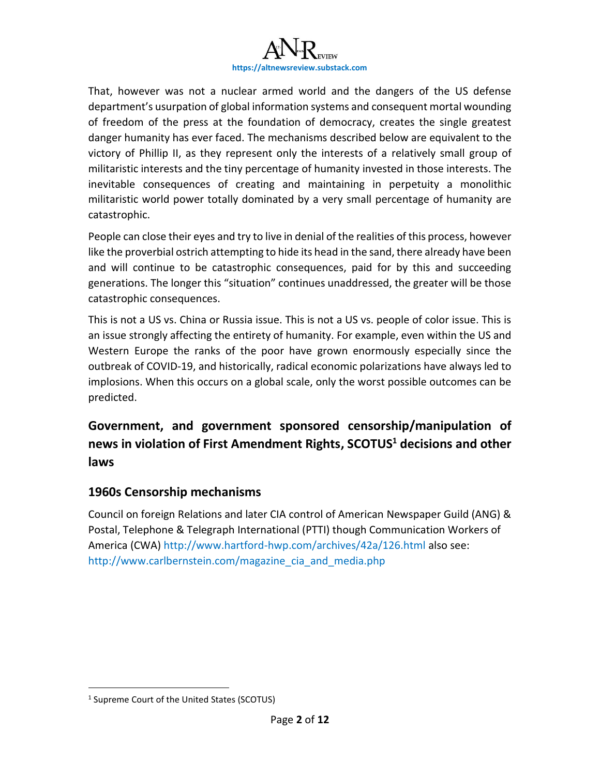

That, however was not a nuclear armed world and the dangers of the US defense department's usurpation of global information systems and consequent mortal wounding of freedom of the press at the foundation of democracy, creates the single greatest danger humanity has ever faced. The mechanisms described below are equivalent to the victory of Phillip II, as they represent only the interests of a relatively small group of militaristic interests and the tiny percentage of humanity invested in those interests. The inevitable consequences of creating and maintaining in perpetuity a monolithic militaristic world power totally dominated by a very small percentage of humanity are catastrophic.

People can close their eyes and try to live in denial of the realities of this process, however like the proverbial ostrich attempting to hide its head in the sand, there already have been and will continue to be catastrophic consequences, paid for by this and succeeding generations. The longer this "situation" continues unaddressed, the greater will be those catastrophic consequences.

This is not a US vs. China or Russia issue. This is not a US vs. people of color issue. This is an issue strongly affecting the entirety of humanity. For example, even within the US and Western Europe the ranks of the poor have grown enormously especially since the outbreak of COVID-19, and historically, radical economic polarizations have always led to implosions. When this occurs on a global scale, only the worst possible outcomes can be predicted.

**Government, and government sponsored censorship/manipulation of news in violation of First Amendment Rights, SCOTUS<sup>1</sup> decisions and other laws**

#### **1960s Censorship mechanisms**

Council on foreign Relations and later CIA control of American Newspaper Guild (ANG) & Postal, Telephone & Telegraph International (PTTI) though Communication Workers of America (CWA) <http://www.hartford-hwp.com/archives/42a/126.html> also see: [http://www.carlbernstein.com/magazine\\_cia\\_and\\_media.php](http://www.carlbernstein.com/magazine_cia_and_media.php)

<sup>&</sup>lt;sup>1</sup> Supreme Court of the United States (SCOTUS)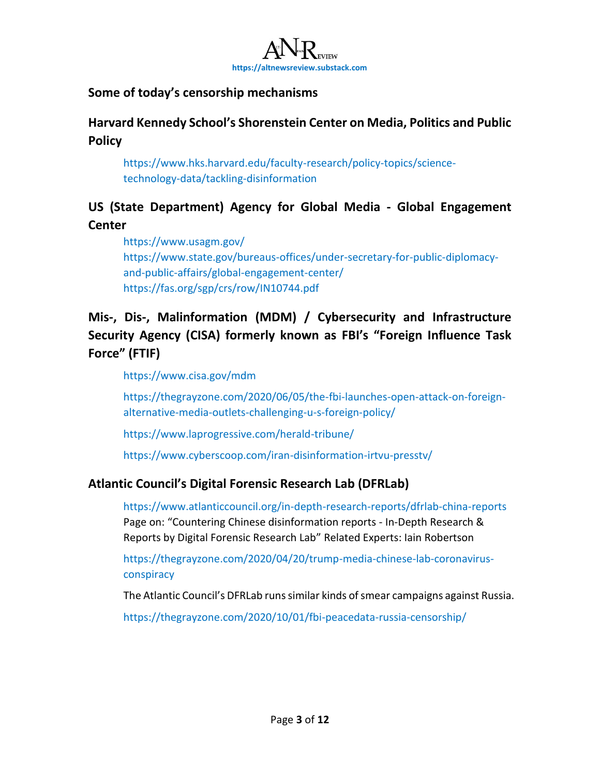

## **Some of today's censorship mechanisms**

**Harvard Kennedy School's Shorenstein Center on Media, Politics and Public Policy** 

[https://www.hks.harvard.edu/faculty-research/policy-topics/science](https://www.hks.harvard.edu/faculty-research/policy-topics/science-technology-data/tackling-disinformation)[technology-data/tackling-disinformation](https://www.hks.harvard.edu/faculty-research/policy-topics/science-technology-data/tackling-disinformation)

## **US (State Department) Agency for Global Media - Global Engagement Center**

<https://www.usagm.gov/> [https://www.state.gov/bureaus-offices/under-secretary-for-public-diplomacy](https://www.state.gov/bureaus-offices/under-secretary-for-public-diplomacy-and-public-affairs/global-engagement-center/)[and-public-affairs/global-engagement-center/](https://www.state.gov/bureaus-offices/under-secretary-for-public-diplomacy-and-public-affairs/global-engagement-center/) <https://fas.org/sgp/crs/row/IN10744.pdf>

# **Mis-, Dis-, Malinformation (MDM) / Cybersecurity and Infrastructure Security Agency (CISA) formerly known as FBI's "Foreign Influence Task Force" (FTIF)**

<https://www.cisa.gov/mdm>

[https://thegrayzone.com/2020/06/05/the-fbi-launches-open-attack-on-foreign](https://thegrayzone.com/2020/06/05/the-fbi-launches-open-attack-on-foreign-alternative-media-outlets-challenging-u-s-foreign-policy/)[alternative-media-outlets-challenging-u-s-foreign-policy/](https://thegrayzone.com/2020/06/05/the-fbi-launches-open-attack-on-foreign-alternative-media-outlets-challenging-u-s-foreign-policy/)

<https://www.laprogressive.com/herald-tribune/>

<https://www.cyberscoop.com/iran-disinformation-irtvu-presstv/>

## **Atlantic Council's Digital Forensic Research Lab (DFRLab)**

<https://www.atlanticcouncil.org/in-depth-research-reports/dfrlab-china-reports> Page on: "Countering Chinese disinformation reports - In-Depth Research & Reports by Digital Forensic Research Lab" Related Experts: Iain Robertson

[https://thegrayzone.com/2020/04/20/trump-media-chinese-lab-coronavirus](https://thegrayzone.com/2020/04/20/trump-media-chinese-lab-coronavirus-conspiracy)[conspiracy](https://thegrayzone.com/2020/04/20/trump-media-chinese-lab-coronavirus-conspiracy)

The Atlantic Council's DFRLab runs similar kinds of smear campaigns against Russia.

<https://thegrayzone.com/2020/10/01/fbi-peacedata-russia-censorship/>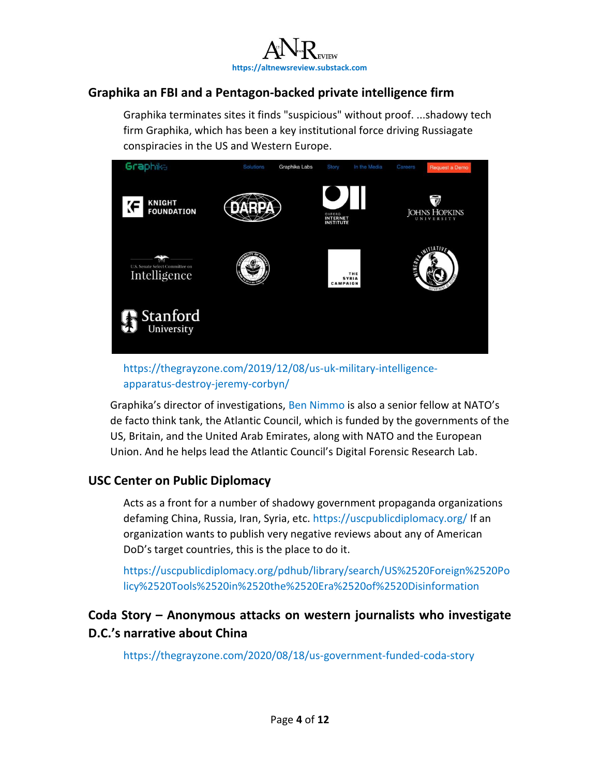

## **Graphika an FBI and a Pentagon-backed private intelligence firm**

Graphika terminates sites it finds "suspicious" without proof. ...shadowy tech firm Graphika, which has been a key institutional force driving Russiagate conspiracies in the US and Western Europe.



#### [https://thegrayzone.com/2019/12/08/us-uk-military-intelligence](https://thegrayzone.com/2019/12/08/us-uk-military-intelligence-apparatus-destroy-jeremy-corbyn/)[apparatus-destroy-jeremy-corbyn/](https://thegrayzone.com/2019/12/08/us-uk-military-intelligence-apparatus-destroy-jeremy-corbyn/)

Graphika's director of investigations, [Ben Nimmo](https://www.justsecurity.org/author/nimmoben/) is also a senior fellow at NATO's de facto think tank, the Atlantic Council, which is funded by the governments of the US, Britain, and the United Arab Emirates, along with NATO and the European Union. And he helps lead the Atlantic Council's Digital Forensic Research Lab.

## **USC Center on Public Diplomacy**

Acts as a front for a number of shadowy government propaganda organizations defaming China, Russia, Iran, Syria, etc.<https://uscpublicdiplomacy.org/> If an organization wants to publish very negative reviews about any of American DoD's target countries, this is the place to do it.

[https://uscpublicdiplomacy.org/pdhub/library/search/US%2520Foreign%2520Po](https://uscpublicdiplomacy.org/pdhub/library/search/US%2520Foreign%2520Policy%2520Tools%2520in%2520the%2520Era%2520of%2520Disinformation) [licy%2520Tools%2520in%2520the%2520Era%2520of%2520Disinformation](https://uscpublicdiplomacy.org/pdhub/library/search/US%2520Foreign%2520Policy%2520Tools%2520in%2520the%2520Era%2520of%2520Disinformation)

## **Coda Story – Anonymous attacks on western journalists who investigate D.C.'s narrative about China**

<https://thegrayzone.com/2020/08/18/us-government-funded-coda-story>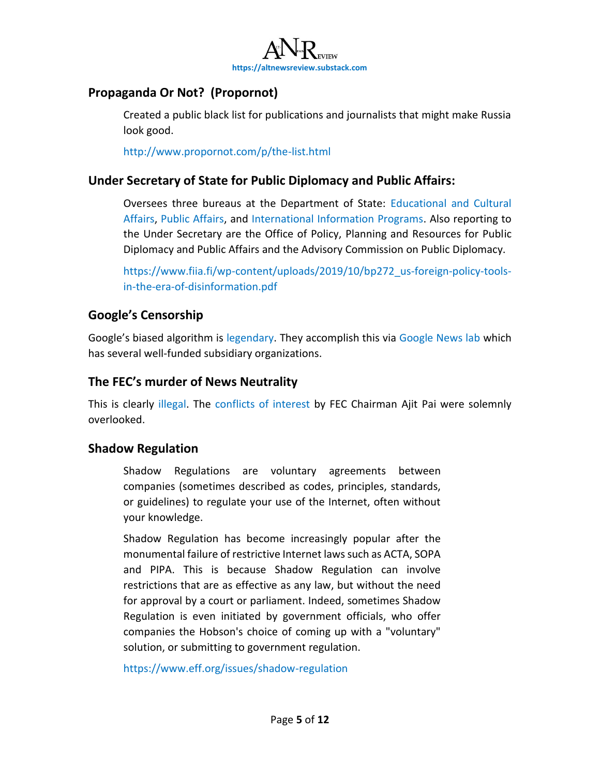

## **Propaganda Or Not? (Propornot)**

Created a public black list for publications and journalists that might make Russia look good.

<http://www.propornot.com/p/the-list.html>

#### **Under Secretary of State for Public Diplomacy and Public Affairs:**

Oversees three bureaus at the Department of State: [Educational and Cultural](https://en.wikipedia.org/wiki/Bureau_of_Educational_and_Cultural_Affairs)  [Affairs,](https://en.wikipedia.org/wiki/Bureau_of_Educational_and_Cultural_Affairs) [Public Affairs,](https://en.wikipedia.org/wiki/Bureau_of_Public_Affairs) and [International Information Programs.](https://en.wikipedia.org/wiki/Bureau_of_International_Information_Programs) Also reporting to the Under Secretary are the Office of Policy, Planning and Resources for Public Diplomacy and Public Affairs and the Advisory Commission on Public Diplomacy.

[https://www.fiia.fi/wp-content/uploads/2019/10/bp272\\_us-foreign-policy-tools](https://www.fiia.fi/wp-content/uploads/2019/10/bp272_us-foreign-policy-tools-in-the-era-of-disinformation.pdf)[in-the-era-of-disinformation.pdf](https://www.fiia.fi/wp-content/uploads/2019/10/bp272_us-foreign-policy-tools-in-the-era-of-disinformation.pdf)

## **Google's Censorship**

Google's biased algorithm is [legendary.](https://thegreatlinking.files.wordpress.com/2021/03/is-google-biased_article-list-w-links.docx) They accomplish this via [Google News lab](https://newsinitiative.withgoogle.com/google-news-lab) which has several well-funded subsidiary organizations.

## **The FEC's murder of News Neutrality**

This is clearly [illegal.](https://www.law.cornell.edu/uscode/text/47/202) The [conflicts of interest](https://economictimes.indiatimes.com/tech/internet/rolling-back-net-neutrality-can-spur-investments-in-economies-like-india-ajit-pai/articleshow/73181011.cms) by FEC Chairman Ajit Pai were solemnly overlooked.

#### **Shadow Regulation**

Shadow Regulations are voluntary agreements between companies (sometimes described as codes, principles, standards, or guidelines) to regulate your use of the Internet, often without your knowledge.

Shadow Regulation has become increasingly popular after the monumental failure of restrictive Internet laws such as ACTA, SOPA and PIPA. This is because Shadow Regulation can involve restrictions that are as effective as any law, but without the need for approval by a court or parliament. Indeed, sometimes Shadow Regulation is even initiated by government officials, who offer companies the Hobson's choice of coming up with a "voluntary" solution, or submitting to government regulation.

<https://www.eff.org/issues/shadow-regulation>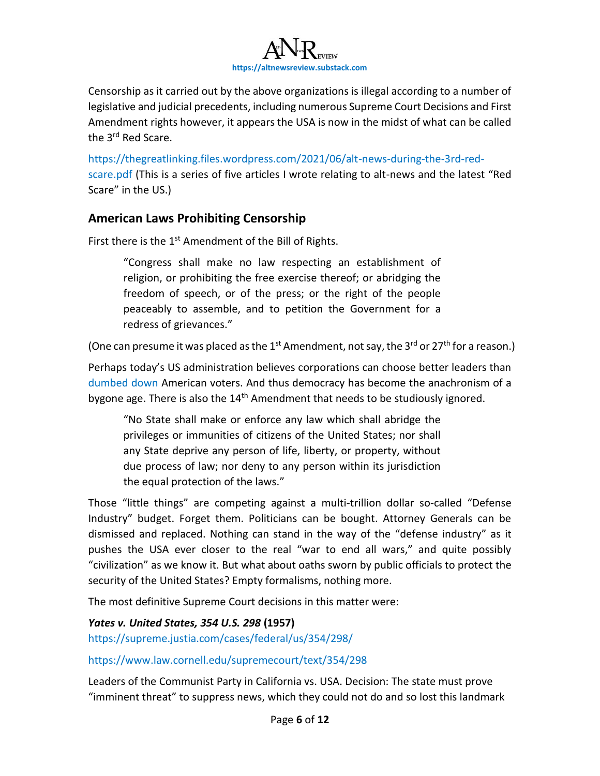

Censorship as it carried out by the above organizations is illegal according to a number of legislative and judicial precedents, including numerous Supreme Court Decisions and First Amendment rights however, it appears the USA is now in the midst of what can be called the 3<sup>rd</sup> Red Scare.

[https://thegreatlinking.files.wordpress.com/2021/06/alt-news-during-the-3rd-red](https://thegreatlinking.files.wordpress.com/2021/06/alt-news-during-the-3rd-red-scare.pdf)[scare.pdf](https://thegreatlinking.files.wordpress.com/2021/06/alt-news-during-the-3rd-red-scare.pdf) (This is a series of five articles I wrote relating to alt-news and the latest "Red Scare" in the US.)

#### **American Laws Prohibiting Censorship**

First there is the  $1<sup>st</sup>$  Amendment of the Bill of Rights.

"Congress shall make no law respecting an establishment of religion, or prohibiting the free exercise thereof; or abridging the freedom of speech, or of the press; or the right of the people peaceably to assemble, and to petition the Government for a redress of grievances."

(One can presume it was placed as the 1<sup>st</sup> Amendment, not say, the 3<sup>rd</sup> or 27<sup>th</sup> for a reason.)

Perhaps today's US administration believes corporations can choose better leaders than [dumbed down](https://www.globalresearch.ca/the-dumbing-down-of-america-by-design/5395928) American voters. And thus democracy has become the anachronism of a bygone age. There is also the 14<sup>th</sup> Amendment that needs to be studiously ignored.

"No State shall make or enforce any law which shall abridge the privileges or immunities of citizens of the United States; nor shall any State deprive any person of life, liberty, or property, without due process of law; nor deny to any person within its jurisdiction the equal protection of the laws."

Those "little things" are competing against a multi-trillion dollar so-called "Defense Industry" budget. Forget them. Politicians can be bought. Attorney Generals can be dismissed and replaced. Nothing can stand in the way of the "defense industry" as it pushes the USA ever closer to the real "war to end all wars," and quite possibly "civilization" as we know it. But what about oaths sworn by public officials to protect the security of the United States? Empty formalisms, nothing more.

The most definitive Supreme Court decisions in this matter were:

*Yates v. United States, 354 U.S. 298* **(1957)** <https://supreme.justia.com/cases/federal/us/354/298/>

<https://www.law.cornell.edu/supremecourt/text/354/298>

Leaders of the Communist Party in California vs. USA. Decision: The state must prove "imminent threat" to suppress news, which they could not do and so lost this landmark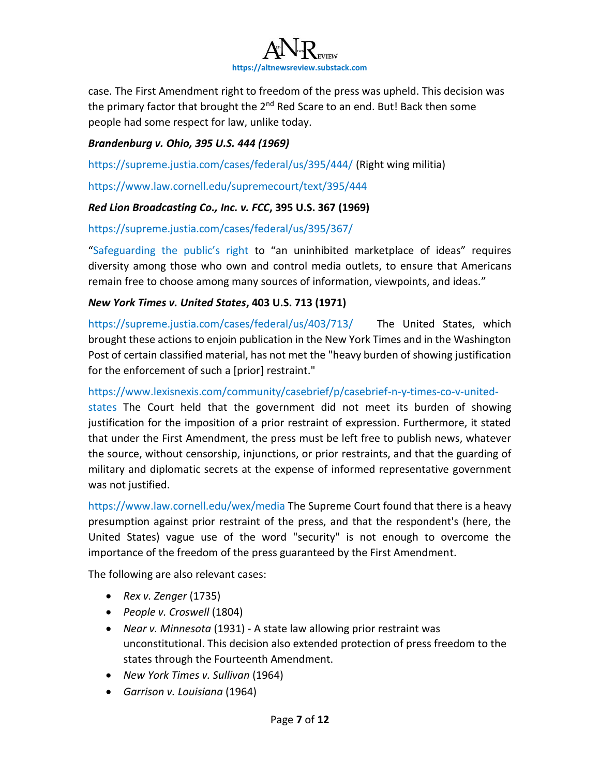

case. The First Amendment right to freedom of the press was upheld. This decision was the primary factor that brought the  $2^{nd}$  Red Scare to an end. But! Back then some people had some respect for law, unlike today.

#### *Brandenburg v. Ohio, 395 U.S. 444 (1969)*

<https://supreme.justia.com/cases/federal/us/395/444/> (Right wing militia)

<https://www.law.cornell.edu/supremecourt/text/395/444>

#### *Red Lion Broadcasting Co., Inc. v. FCC***, 395 U.S. 367 (1969)**

<https://supreme.justia.com/cases/federal/us/395/367/>

["Safeguarding the public's right](https://aflcio.org/about/leadership/statements/media-monopolies-threat-american-democracy) to "an uninhibited marketplace of ideas" requires diversity among those who own and control media outlets, to ensure that Americans remain free to choose among many sources of information, viewpoints, and ideas."

#### *New York Times v. United States***, 403 U.S. 713 (1971)**

<https://supreme.justia.com/cases/federal/us/403/713/>The United States, which brought these actions to enjoin publication in the New York Times and in the Washington Post of certain classified material, has not met the "heavy burden of showing justification for the enforcement of such a [prior] restraint."

#### [https://www.lexisnexis.com/community/casebrief/p/casebrief-n-y-times-co-v-united-](https://www.lexisnexis.com/community/casebrief/p/casebrief-n-y-times-co-v-united-states)

[states](https://www.lexisnexis.com/community/casebrief/p/casebrief-n-y-times-co-v-united-states) The Court held that the government did not meet its burden of showing justification for the imposition of a prior restraint of expression. Furthermore, it stated that under the First Amendment, the press must be left free to publish news, whatever the source, without censorship, injunctions, or prior restraints, and that the guarding of military and diplomatic secrets at the expense of informed representative government was not justified.

<https://www.law.cornell.edu/wex/media> The Supreme Court found that there is a heavy presumption against prior restraint of the press, and that the respondent's (here, the United States) vague use of the word "security" is not enough to overcome the importance of the freedom of the press guaranteed by the First Amendment.

The following are also relevant cases:

- *Rex v. Zenger* (1735)
- *People v. Croswell* (1804)
- *Near v. Minnesota* (1931) A state law allowing prior restraint was unconstitutional. This decision also extended protection of press freedom to the states through the Fourteenth Amendment.
- *New York Times v. Sullivan* (1964)
- *Garrison v. Louisiana* (1964)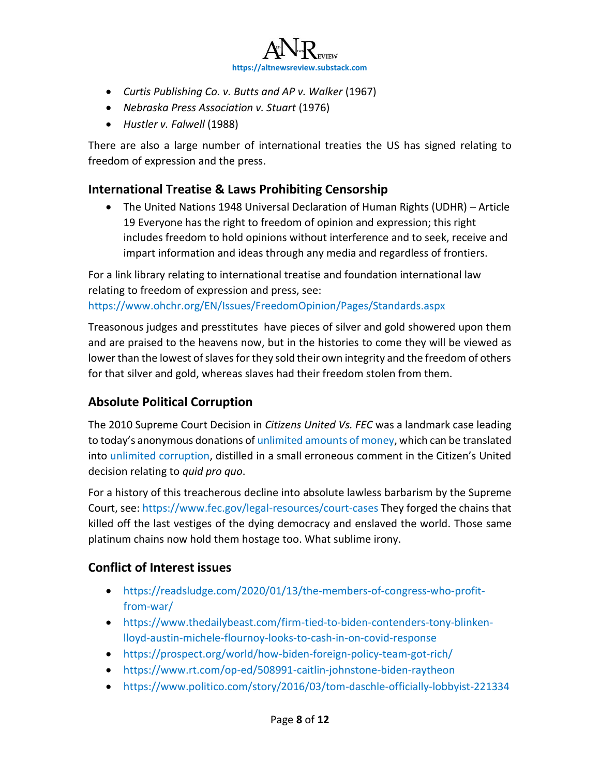

- *Curtis Publishing Co. v. Butts and AP v. Walker* (1967)
- *Nebraska Press Association v. Stuart* (1976)
- *Hustler v. Falwell* (1988)

There are also a large number of international treaties the US has signed relating to freedom of expression and the press.

#### **International Treatise & Laws Prohibiting Censorship**

• The United Nations 1948 Universal Declaration of Human Rights (UDHR) – Article 19 Everyone has the right to freedom of opinion and expression; this right includes freedom to hold opinions without interference and to seek, receive and impart information and ideas through any media and regardless of frontiers.

For a link library relating to international treatise and foundation international law relating to freedom of expression and press, see:

<https://www.ohchr.org/EN/Issues/FreedomOpinion/Pages/Standards.aspx>

Treasonous judges and presstitutes have pieces of silver and gold showered upon them and are praised to the heavens now, but in the histories to come they will be viewed as lower than the lowest of slaves for they sold their own integrity and the freedom of others for that silver and gold, whereas slaves had their freedom stolen from them.

## **Absolute Political Corruption**

The 2010 Supreme Court Decision in *Citizens United Vs. FEC* was a landmark case leading to today's anonymous donations of [unlimited amounts of money,](https://www.brennancenter.org/our-work/analysis-opinion/citizens-united-decade-super-pacs) which can be translated into [unlimited corruption,](https://www.opensecrets.org/political-action-committees-pacs/super-pacs/2020) distilled in a small erroneous comment in the Citizen's United decision relating to *quid pro quo*.

For a history of this treacherous decline into absolute lawless barbarism by the Supreme Court, see: [https://www.fec.gov/legal-resources/court-cases](https://www.fec.gov/legal-resources/court-cases/) They forged the chains that killed off the last vestiges of the dying democracy and enslaved the world. Those same platinum chains now hold them hostage too. What sublime irony.

#### **Conflict of Interest issues**

- [https://readsludge.com/2020/01/13/the-members-of-congress-who-profit](https://readsludge.com/2020/01/13/the-members-of-congress-who-profit-from-war/)[from-war/](https://readsludge.com/2020/01/13/the-members-of-congress-who-profit-from-war/)
- [https://www.thedailybeast.com/firm-tied-to-biden-contenders-tony-blinken](https://www.thedailybeast.com/firm-tied-to-biden-contenders-tony-blinken-lloyd-austin-michele-flournoy-looks-to-cash-in-on-covid-response)[lloyd-austin-michele-flournoy-looks-to-cash-in-on-covid-response](https://www.thedailybeast.com/firm-tied-to-biden-contenders-tony-blinken-lloyd-austin-michele-flournoy-looks-to-cash-in-on-covid-response)
- <https://prospect.org/world/how-biden-foreign-policy-team-got-rich/>
- <https://www.rt.com/op-ed/508991-caitlin-johnstone-biden-raytheon>
- <https://www.politico.com/story/2016/03/tom-daschle-officially-lobbyist-221334>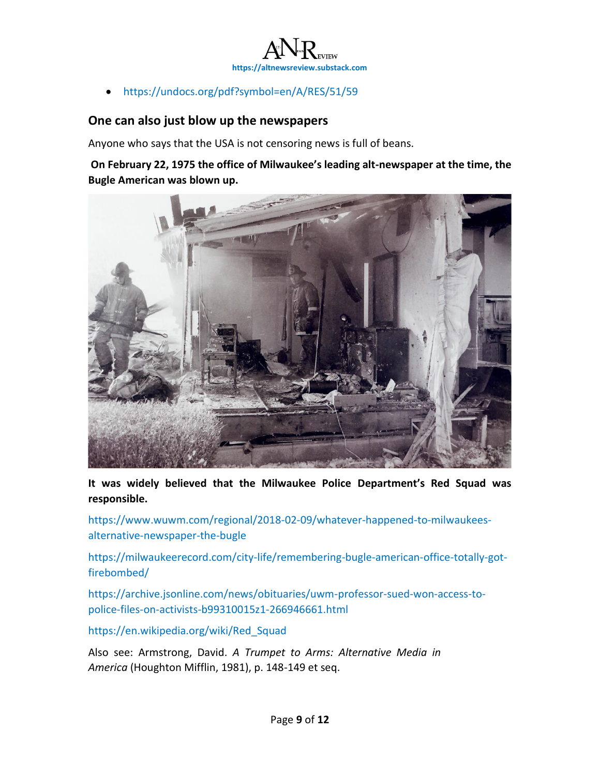

• <https://undocs.org/pdf?symbol=en/A/RES/51/59>

#### **One can also just blow up the newspapers**

Anyone who says that the USA is not censoring news is full of beans.

**On February 22, 1975 the office of Milwaukee's leading alt-newspaper at the time, the Bugle American was blown up.** 



**It was widely believed that the Milwaukee Police Department's Red Squad was responsible.**

[https://www.wuwm.com/regional/2018-02-09/whatever-happened-to-milwaukees](https://www.wuwm.com/regional/2018-02-09/whatever-happened-to-milwaukees-alternative-newspaper-the-bugle)[alternative-newspaper-the-bugle](https://www.wuwm.com/regional/2018-02-09/whatever-happened-to-milwaukees-alternative-newspaper-the-bugle)

[https://milwaukeerecord.com/city-life/remembering-bugle-american-office-totally-got](https://milwaukeerecord.com/city-life/remembering-bugle-american-office-totally-got-firebombed/)[firebombed/](https://milwaukeerecord.com/city-life/remembering-bugle-american-office-totally-got-firebombed/)

[https://archive.jsonline.com/news/obituaries/uwm-professor-sued-won-access-to](https://archive.jsonline.com/news/obituaries/uwm-professor-sued-won-access-to-police-files-on-activists-b99310015z1-266946661.html/)[police-files-on-activists-b99310015z1-266946661.html](https://archive.jsonline.com/news/obituaries/uwm-professor-sued-won-access-to-police-files-on-activists-b99310015z1-266946661.html/)

[https://en.wikipedia.org/wiki/Red\\_Squad](https://en.wikipedia.org/wiki/Red_Squad)

Also see: Armstrong, David. *A Trumpet to Arms: Alternative Media in America* (Houghton Mifflin, 1981), p. 148-149 et seq.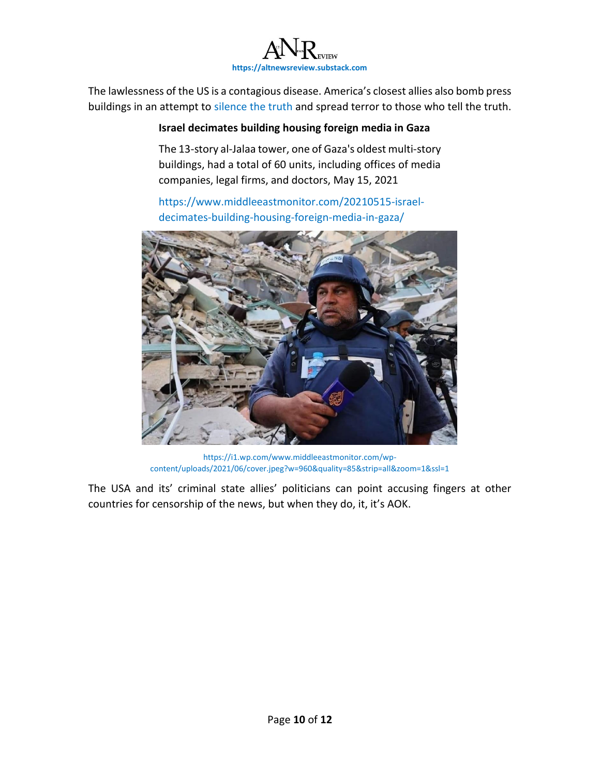

The lawlessness of the US is a contagious disease. America's closest allies also bomb press buildings in an attempt to [silence the truth](https://www.middleeastmonitor.com/20210515-israel-decimates-building-housing-foreign-media-in-gaza/) and spread terror to those who tell the truth.

#### **Israel decimates building housing foreign media in Gaza**

The 13-story al-Jalaa tower, one of Gaza's oldest multi-story buildings, had a total of 60 units, including offices of media companies, legal firms, and doctors, May 15, 2021

[https://www.middleeastmonitor.com/20210515-israel](https://www.middleeastmonitor.com/20210515-israel-decimates-building-housing-foreign-media-in-gaza/)[decimates-building-housing-foreign-media-in-gaza/](https://www.middleeastmonitor.com/20210515-israel-decimates-building-housing-foreign-media-in-gaza/)



[https://i1.wp.com/www.middleeastmonitor.com/wp](https://i1.wp.com/www.middleeastmonitor.com/wp-content/uploads/2021/06/cover.jpeg?w=960&quality=85&strip=all&zoom=1&ssl=1)[content/uploads/2021/06/cover.jpeg?w=960&quality=85&strip=all&zoom=1&ssl=1](https://i1.wp.com/www.middleeastmonitor.com/wp-content/uploads/2021/06/cover.jpeg?w=960&quality=85&strip=all&zoom=1&ssl=1)

The USA and its' criminal state allies' politicians can point accusing fingers at other countries for censorship of the news, but when they do, it, it's AOK.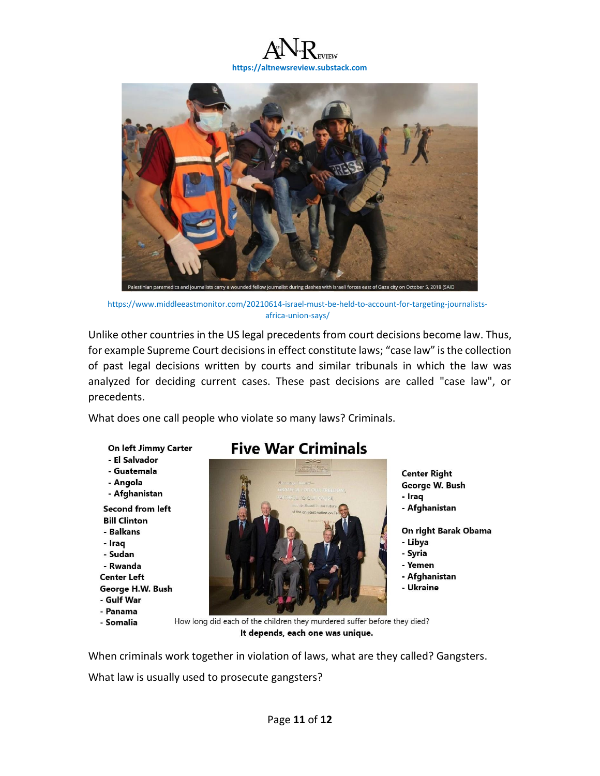



[https://www.middleeastmonitor.com/20210614-israel-must-be-held-to-account-for-targeting-journalists](https://www.middleeastmonitor.com/20210614-israel-must-be-held-to-account-for-targeting-journalists-africa-union-says/)[africa-union-says/](https://www.middleeastmonitor.com/20210614-israel-must-be-held-to-account-for-targeting-journalists-africa-union-says/)

Unlike other countries in the US legal precedents from court decisions become law. Thus, for example Supreme Court decisions in effect constitute laws; "case law" is the collection of past legal decisions written by courts and similar tribunals in which the law was analyzed for deciding current cases. These past decisions are called "case law", or precedents.

What does one call people who violate so many laws? Criminals.

On left Jimmy Carter

- El Salvador
- Guatemala
- Angola
- Afghanistan

**Second from left Bill Clinton** - Balkans

- Iraq - Sudan - Rwanda **Center Left** George H.W. Bush

- Gulf War

- Panama
- Somalia

# **Five War Criminals**



**Center Right** George W. Bush - Iraq - Afghanistan On right Barak Obama

- 
- Libya - Syria
- Yemen
- Afghanistan
- Ukraine

How long did each of the children they murdered suffer before they died? It depends, each one was unique.

When criminals work together in violation of laws, what are they called? Gangsters.

What law is usually used to prosecute gangsters?